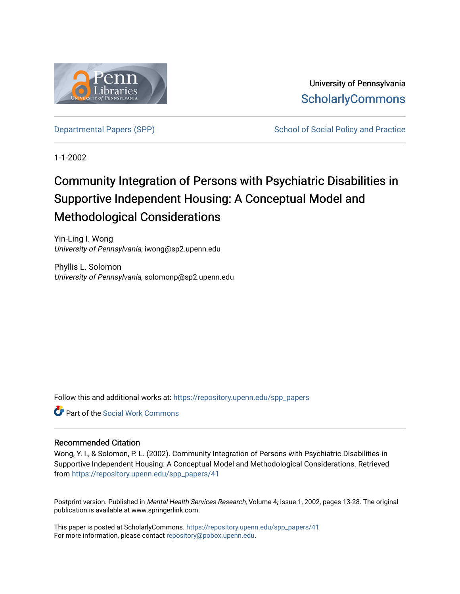

University of Pennsylvania **ScholarlyCommons** 

[Departmental Papers \(SPP\)](https://repository.upenn.edu/spp_papers) School of Social Policy and Practice

1-1-2002

# Community Integration of Persons with Psychiatric Disabilities in Supportive Independent Housing: A Conceptual Model and Methodological Considerations

Yin-Ling I. Wong University of Pennsylvania, iwong@sp2.upenn.edu

Phyllis L. Solomon University of Pennsylvania, solomonp@sp2.upenn.edu

Follow this and additional works at: [https://repository.upenn.edu/spp\\_papers](https://repository.upenn.edu/spp_papers?utm_source=repository.upenn.edu%2Fspp_papers%2F41&utm_medium=PDF&utm_campaign=PDFCoverPages) 

**C** Part of the [Social Work Commons](http://network.bepress.com/hgg/discipline/713?utm_source=repository.upenn.edu%2Fspp_papers%2F41&utm_medium=PDF&utm_campaign=PDFCoverPages)

#### Recommended Citation

Wong, Y. I., & Solomon, P. L. (2002). Community Integration of Persons with Psychiatric Disabilities in Supportive Independent Housing: A Conceptual Model and Methodological Considerations. Retrieved from [https://repository.upenn.edu/spp\\_papers/41](https://repository.upenn.edu/spp_papers/41?utm_source=repository.upenn.edu%2Fspp_papers%2F41&utm_medium=PDF&utm_campaign=PDFCoverPages)

Postprint version. Published in Mental Health Services Research, Volume 4, Issue 1, 2002, pages 13-28. The original publication is available at www.springerlink.com.

This paper is posted at ScholarlyCommons. [https://repository.upenn.edu/spp\\_papers/41](https://repository.upenn.edu/spp_papers/41)  For more information, please contact [repository@pobox.upenn.edu.](mailto:repository@pobox.upenn.edu)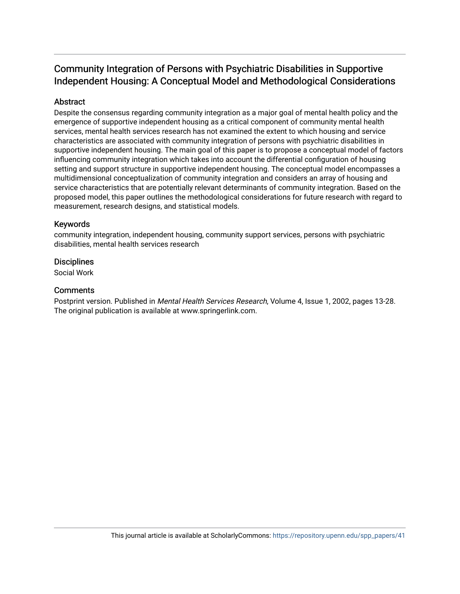## Community Integration of Persons with Psychiatric Disabilities in Supportive Independent Housing: A Conceptual Model and Methodological Considerations

### Abstract

Despite the consensus regarding community integration as a major goal of mental health policy and the emergence of supportive independent housing as a critical component of community mental health services, mental health services research has not examined the extent to which housing and service characteristics are associated with community integration of persons with psychiatric disabilities in supportive independent housing. The main goal of this paper is to propose a conceptual model of factors influencing community integration which takes into account the differential configuration of housing setting and support structure in supportive independent housing. The conceptual model encompasses a multidimensional conceptualization of community integration and considers an array of housing and service characteristics that are potentially relevant determinants of community integration. Based on the proposed model, this paper outlines the methodological considerations for future research with regard to measurement, research designs, and statistical models.

#### Keywords

community integration, independent housing, community support services, persons with psychiatric disabilities, mental health services research

#### **Disciplines**

Social Work

#### **Comments**

Postprint version. Published in Mental Health Services Research, Volume 4, Issue 1, 2002, pages 13-28. The original publication is available at www.springerlink.com.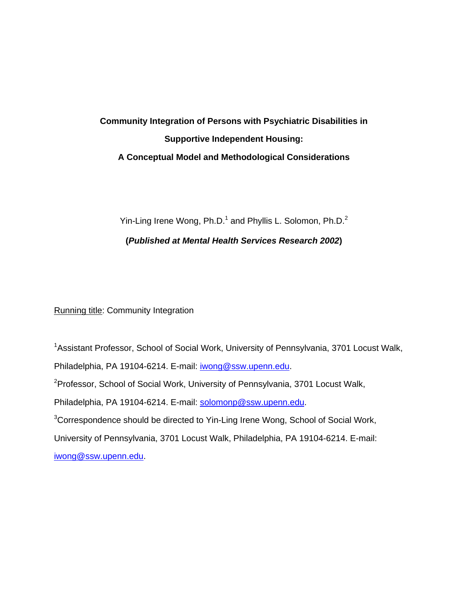# **Community Integration of Persons with Psychiatric Disabilities in Supportive Independent Housing: A Conceptual Model and Methodological Considerations**

Yin-Ling Irene Wong,  $Ph.D.^1$  and Phyllis L. Solomon, Ph.D.<sup>2</sup>

**(***Published at Mental Health Services Research 2002***)** 

Running title: Community Integration

<sup>1</sup>Assistant Professor, School of Social Work, University of Pennsylvania, 3701 Locust Walk, Philadelphia, PA 19104-6214. E-mail: [iwong@ssw.upenn.edu](mailto:iwong@ssw.upenn.edu). <sup>2</sup> Professor, School of Social Work, University of Pennsylvania, 3701 Locust Walk, Philadelphia, PA 19104-6214. E-mail: [solomonp@ssw.upenn.edu](mailto:solomonp@ssw.upenn.edu).  $3$ Correspondence should be directed to Yin-Ling Irene Wong, School of Social Work, University of Pennsylvania, 3701 Locust Walk, Philadelphia, PA 19104-6214. E-mail: [iwong@ssw.upenn.edu](mailto:iwong@ssw.upenn.edu).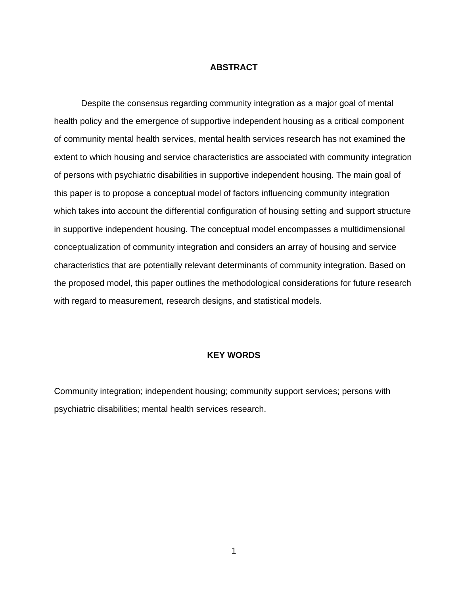#### **ABSTRACT**

 Despite the consensus regarding community integration as a major goal of mental health policy and the emergence of supportive independent housing as a critical component of community mental health services, mental health services research has not examined the extent to which housing and service characteristics are associated with community integration of persons with psychiatric disabilities in supportive independent housing. The main goal of this paper is to propose a conceptual model of factors influencing community integration which takes into account the differential configuration of housing setting and support structure in supportive independent housing. The conceptual model encompasses a multidimensional conceptualization of community integration and considers an array of housing and service characteristics that are potentially relevant determinants of community integration. Based on the proposed model, this paper outlines the methodological considerations for future research with regard to measurement, research designs, and statistical models.

#### **KEY WORDS**

Community integration; independent housing; community support services; persons with psychiatric disabilities; mental health services research.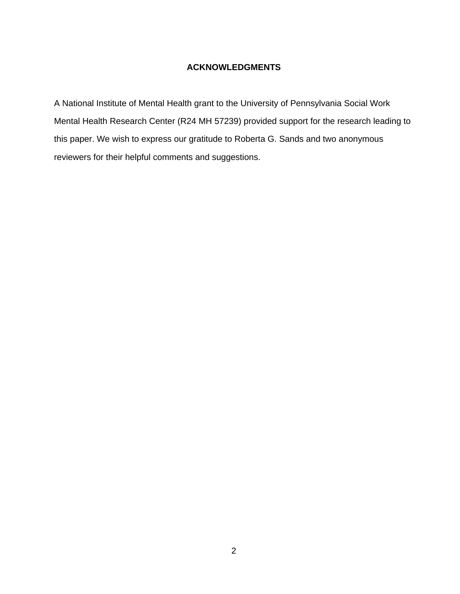### **ACKNOWLEDGMENTS**

A National Institute of Mental Health grant to the University of Pennsylvania Social Work Mental Health Research Center (R24 MH 57239) provided support for the research leading to this paper. We wish to express our gratitude to Roberta G. Sands and two anonymous reviewers for their helpful comments and suggestions.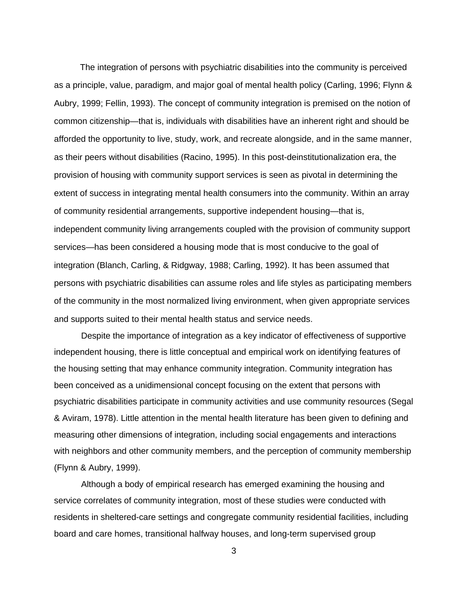The integration of persons with psychiatric disabilities into the community is perceived as a principle, value, paradigm, and major goal of mental health policy (Carling, 1996; Flynn & Aubry, 1999; Fellin, 1993). The concept of community integration is premised on the notion of common citizenship—that is, individuals with disabilities have an inherent right and should be afforded the opportunity to live, study, work, and recreate alongside, and in the same manner, as their peers without disabilities (Racino, 1995). In this post-deinstitutionalization era, the provision of housing with community support services is seen as pivotal in determining the extent of success in integrating mental health consumers into the community. Within an array of community residential arrangements, supportive independent housing—that is, independent community living arrangements coupled with the provision of community support services—has been considered a housing mode that is most conducive to the goal of integration (Blanch, Carling, & Ridgway, 1988; Carling, 1992). It has been assumed that persons with psychiatric disabilities can assume roles and life styles as participating members of the community in the most normalized living environment, when given appropriate services and supports suited to their mental health status and service needs.

 Despite the importance of integration as a key indicator of effectiveness of supportive independent housing, there is little conceptual and empirical work on identifying features of the housing setting that may enhance community integration. Community integration has been conceived as a unidimensional concept focusing on the extent that persons with psychiatric disabilities participate in community activities and use community resources (Segal & Aviram, 1978). Little attention in the mental health literature has been given to defining and measuring other dimensions of integration, including social engagements and interactions with neighbors and other community members, and the perception of community membership (Flynn & Aubry, 1999).

Although a body of empirical research has emerged examining the housing and service correlates of community integration, most of these studies were conducted with residents in sheltered-care settings and congregate community residential facilities, including board and care homes, transitional halfway houses, and long-term supervised group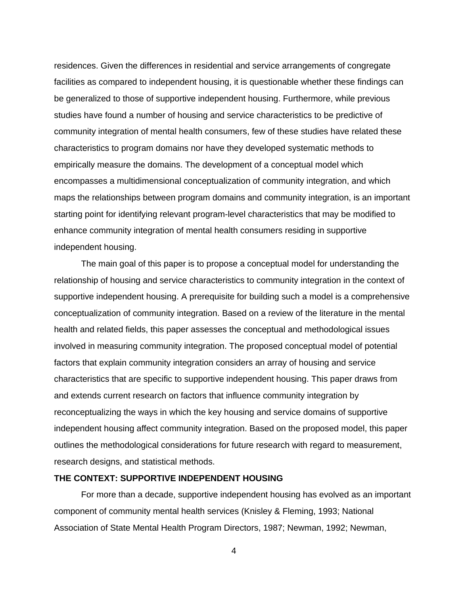residences. Given the differences in residential and service arrangements of congregate facilities as compared to independent housing, it is questionable whether these findings can be generalized to those of supportive independent housing. Furthermore, while previous studies have found a number of housing and service characteristics to be predictive of community integration of mental health consumers, few of these studies have related these characteristics to program domains nor have they developed systematic methods to empirically measure the domains. The development of a conceptual model which encompasses a multidimensional conceptualization of community integration, and which maps the relationships between program domains and community integration, is an important starting point for identifying relevant program-level characteristics that may be modified to enhance community integration of mental health consumers residing in supportive independent housing.

The main goal of this paper is to propose a conceptual model for understanding the relationship of housing and service characteristics to community integration in the context of supportive independent housing. A prerequisite for building such a model is a comprehensive conceptualization of community integration. Based on a review of the literature in the mental health and related fields, this paper assesses the conceptual and methodological issues involved in measuring community integration. The proposed conceptual model of potential factors that explain community integration considers an array of housing and service characteristics that are specific to supportive independent housing. This paper draws from and extends current research on factors that influence community integration by reconceptualizing the ways in which the key housing and service domains of supportive independent housing affect community integration. Based on the proposed model, this paper outlines the methodological considerations for future research with regard to measurement, research designs, and statistical methods.

#### **THE CONTEXT: SUPPORTIVE INDEPENDENT HOUSING**

 For more than a decade, supportive independent housing has evolved as an important component of community mental health services (Knisley & Fleming, 1993; National Association of State Mental Health Program Directors, 1987; Newman, 1992; Newman,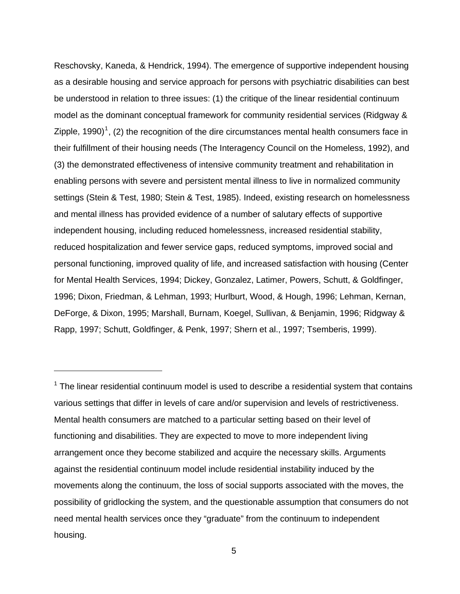<span id="page-7-0"></span>Reschovsky, Kaneda, & Hendrick, 1994). The emergence of supportive independent housing as a desirable housing and service approach for persons with psychiatric disabilities can best be understood in relation to three issues: (1) the critique of the linear residential continuum model as the dominant conceptual framework for community residential services (Ridgway & Zipple, [1](#page-7-0)990)<sup>1</sup>, (2) the recognition of the dire circumstances mental health consumers face in their fulfillment of their housing needs (The Interagency Council on the Homeless, 1992), and (3) the demonstrated effectiveness of intensive community treatment and rehabilitation in enabling persons with severe and persistent mental illness to live in normalized community settings (Stein & Test, 1980; Stein & Test, 1985). Indeed, existing research on homelessness and mental illness has provided evidence of a number of salutary effects of supportive independent housing, including reduced homelessness, increased residential stability, reduced hospitalization and fewer service gaps, reduced symptoms, improved social and personal functioning, improved quality of life, and increased satisfaction with housing (Center for Mental Health Services, 1994; Dickey, Gonzalez, Latimer, Powers, Schutt, & Goldfinger, 1996; Dixon, Friedman, & Lehman, 1993; Hurlburt, Wood, & Hough, 1996; Lehman, Kernan, DeForge, & Dixon, 1995; Marshall, Burnam, Koegel, Sullivan, & Benjamin, 1996; Ridgway & Rapp, 1997; Schutt, Goldfinger, & Penk, 1997; Shern et al., 1997; Tsemberis, 1999).

 $1$  The linear residential continuum model is used to describe a residential system that contains various settings that differ in levels of care and/or supervision and levels of restrictiveness. Mental health consumers are matched to a particular setting based on their level of functioning and disabilities. They are expected to move to more independent living arrangement once they become stabilized and acquire the necessary skills. Arguments against the residential continuum model include residential instability induced by the movements along the continuum, the loss of social supports associated with the moves, the possibility of gridlocking the system, and the questionable assumption that consumers do not need mental health services once they "graduate" from the continuum to independent housing.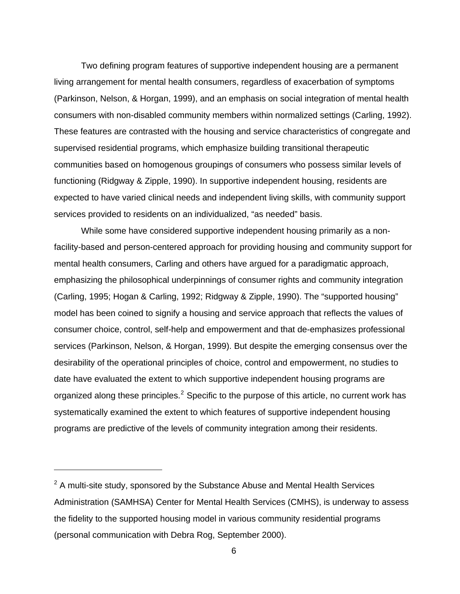<span id="page-8-0"></span> Two defining program features of supportive independent housing are a permanent living arrangement for mental health consumers, regardless of exacerbation of symptoms (Parkinson, Nelson, & Horgan, 1999), and an emphasis on social integration of mental health consumers with non-disabled community members within normalized settings (Carling, 1992). These features are contrasted with the housing and service characteristics of congregate and supervised residential programs, which emphasize building transitional therapeutic communities based on homogenous groupings of consumers who possess similar levels of functioning (Ridgway & Zipple, 1990). In supportive independent housing, residents are expected to have varied clinical needs and independent living skills, with community support services provided to residents on an individualized, "as needed" basis.

While some have considered supportive independent housing primarily as a nonfacility-based and person-centered approach for providing housing and community support for mental health consumers, Carling and others have argued for a paradigmatic approach, emphasizing the philosophical underpinnings of consumer rights and community integration (Carling, 1995; Hogan & Carling, 1992; Ridgway & Zipple, 1990). The "supported housing" model has been coined to signify a housing and service approach that reflects the values of consumer choice, control, self-help and empowerment and that de-emphasizes professional services (Parkinson, Nelson, & Horgan, 1999). But despite the emerging consensus over the desirability of the operational principles of choice, control and empowerment, no studies to date have evaluated the extent to which supportive independent housing programs are organized along these principles.<sup>[2](#page-8-0)</sup> Specific to the purpose of this article, no current work has systematically examined the extent to which features of supportive independent housing programs are predictive of the levels of community integration among their residents.

 $2$  A multi-site study, sponsored by the Substance Abuse and Mental Health Services Administration (SAMHSA) Center for Mental Health Services (CMHS), is underway to assess the fidelity to the supported housing model in various community residential programs (personal communication with Debra Rog, September 2000).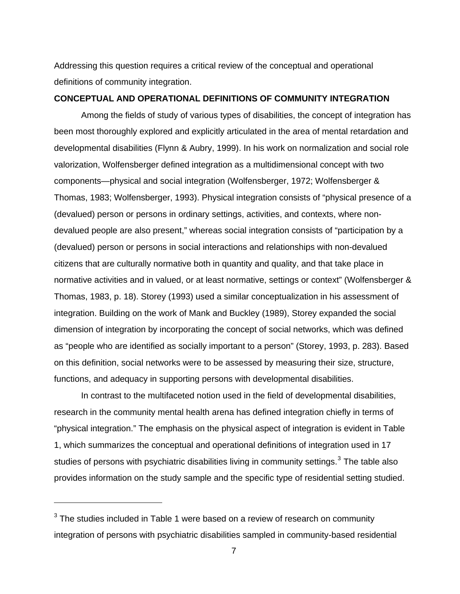<span id="page-9-0"></span>Addressing this question requires a critical review of the conceptual and operational definitions of community integration.

#### **CONCEPTUAL AND OPERATIONAL DEFINITIONS OF COMMUNITY INTEGRATION**

 Among the fields of study of various types of disabilities, the concept of integration has been most thoroughly explored and explicitly articulated in the area of mental retardation and developmental disabilities (Flynn & Aubry, 1999). In his work on normalization and social role valorization, Wolfensberger defined integration as a multidimensional concept with two components—physical and social integration (Wolfensberger, 1972; Wolfensberger & Thomas, 1983; Wolfensberger, 1993). Physical integration consists of "physical presence of a (devalued) person or persons in ordinary settings, activities, and contexts, where nondevalued people are also present," whereas social integration consists of "participation by a (devalued) person or persons in social interactions and relationships with non-devalued citizens that are culturally normative both in quantity and quality, and that take place in normative activities and in valued, or at least normative, settings or context" (Wolfensberger & Thomas, 1983, p. 18). Storey (1993) used a similar conceptualization in his assessment of integration. Building on the work of Mank and Buckley (1989), Storey expanded the social dimension of integration by incorporating the concept of social networks, which was defined as "people who are identified as socially important to a person" (Storey, 1993, p. 283). Based on this definition, social networks were to be assessed by measuring their size, structure, functions, and adequacy in supporting persons with developmental disabilities.

In contrast to the multifaceted notion used in the field of developmental disabilities, research in the community mental health arena has defined integration chiefly in terms of "physical integration." The emphasis on the physical aspect of integration is evident in Table 1, which summarizes the conceptual and operational definitions of integration used in 17 studies of persons with psychiatric disabilities living in community settings.<sup>[3](#page-9-0)</sup> The table also provides information on the study sample and the specific type of residential setting studied.

 $3$  The studies included in Table 1 were based on a review of research on community integration of persons with psychiatric disabilities sampled in community-based residential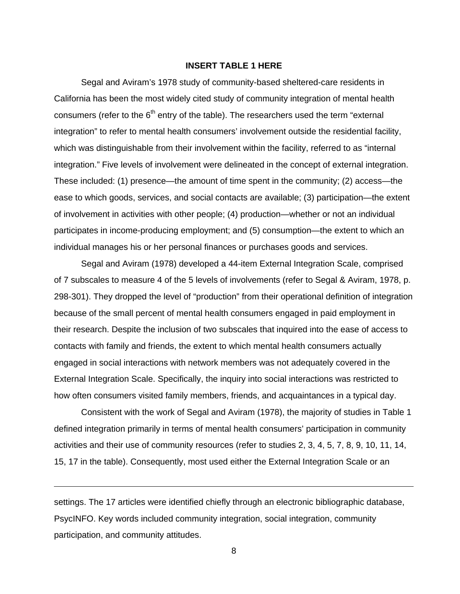#### **INSERT TABLE 1 HERE**

Segal and Aviram's 1978 study of community-based sheltered-care residents in California has been the most widely cited study of community integration of mental health consumers (refer to the  $6<sup>th</sup>$  entry of the table). The researchers used the term "external integration" to refer to mental health consumers' involvement outside the residential facility, which was distinguishable from their involvement within the facility, referred to as "internal integration." Five levels of involvement were delineated in the concept of external integration. These included: (1) presence—the amount of time spent in the community; (2) access—the ease to which goods, services, and social contacts are available; (3) participation—the extent of involvement in activities with other people; (4) production—whether or not an individual participates in income-producing employment; and (5) consumption—the extent to which an individual manages his or her personal finances or purchases goods and services.

 Segal and Aviram (1978) developed a 44-item External Integration Scale, comprised of 7 subscales to measure 4 of the 5 levels of involvements (refer to Segal & Aviram, 1978, p. 298-301). They dropped the level of "production" from their operational definition of integration because of the small percent of mental health consumers engaged in paid employment in their research. Despite the inclusion of two subscales that inquired into the ease of access to contacts with family and friends, the extent to which mental health consumers actually engaged in social interactions with network members was not adequately covered in the External Integration Scale. Specifically, the inquiry into social interactions was restricted to how often consumers visited family members, friends, and acquaintances in a typical day.

 Consistent with the work of Segal and Aviram (1978), the majority of studies in Table 1 defined integration primarily in terms of mental health consumers' participation in community activities and their use of community resources (refer to studies 2, 3, 4, 5, 7, 8, 9, 10, 11, 14, 15, 17 in the table). Consequently, most used either the External Integration Scale or an

settings. The 17 articles were identified chiefly through an electronic bibliographic database, PsycINFO. Key words included community integration, social integration, community participation, and community attitudes.

 $\overline{a}$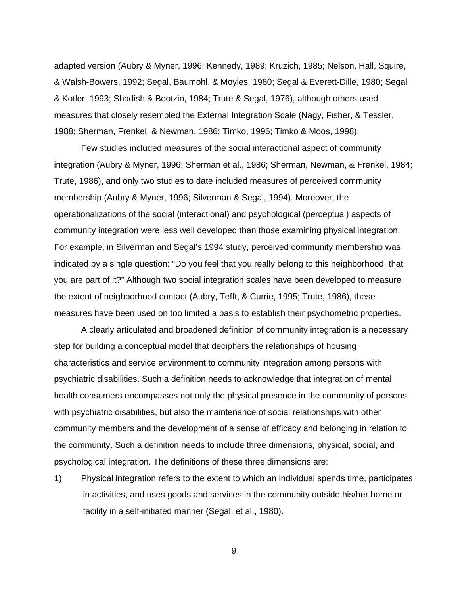adapted version (Aubry & Myner, 1996; Kennedy, 1989; Kruzich, 1985; Nelson, Hall, Squire, & Walsh-Bowers, 1992; Segal, Baumohl, & Moyles, 1980; Segal & Everett-Dille, 1980; Segal & Kotler, 1993; Shadish & Bootzin, 1984; Trute & Segal, 1976), although others used measures that closely resembled the External Integration Scale (Nagy, Fisher, & Tessler, 1988; Sherman, Frenkel, & Newman, 1986; Timko, 1996; Timko & Moos, 1998).

Few studies included measures of the social interactional aspect of community integration (Aubry & Myner, 1996; Sherman et al., 1986; Sherman, Newman, & Frenkel, 1984; Trute, 1986), and only two studies to date included measures of perceived community membership (Aubry & Myner, 1996; Silverman & Segal, 1994). Moreover, the operationalizations of the social (interactional) and psychological (perceptual) aspects of community integration were less well developed than those examining physical integration. For example, in Silverman and Segal's 1994 study, perceived community membership was indicated by a single question: "Do you feel that you really belong to this neighborhood, that you are part of it?" Although two social integration scales have been developed to measure the extent of neighborhood contact (Aubry, Tefft, & Currie, 1995; Trute, 1986), these measures have been used on too limited a basis to establish their psychometric properties.

A clearly articulated and broadened definition of community integration is a necessary step for building a conceptual model that deciphers the relationships of housing characteristics and service environment to community integration among persons with psychiatric disabilities. Such a definition needs to acknowledge that integration of mental health consumers encompasses not only the physical presence in the community of persons with psychiatric disabilities, but also the maintenance of social relationships with other community members and the development of a sense of efficacy and belonging in relation to the community. Such a definition needs to include three dimensions, physical, social, and psychological integration. The definitions of these three dimensions are:

1) Physical integration refers to the extent to which an individual spends time, participates in activities, and uses goods and services in the community outside his/her home or facility in a self-initiated manner (Segal, et al., 1980).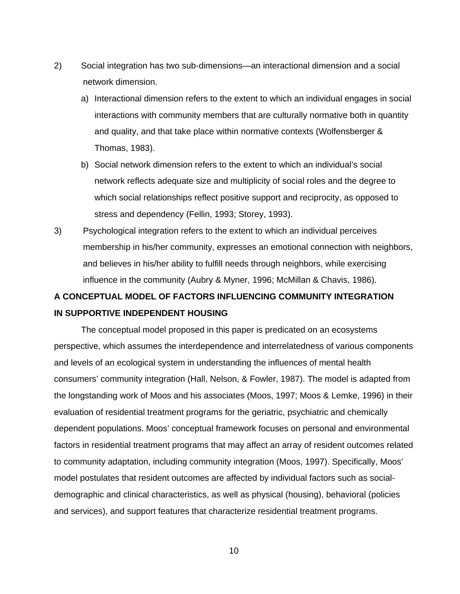- 2) Social integration has two sub-dimensions—an interactional dimension and a social network dimension.
	- a) Interactional dimension refers to the extent to which an individual engages in social interactions with community members that are culturally normative both in quantity and quality, and that take place within normative contexts (Wolfensberger & Thomas, 1983).
	- b) Social network dimension refers to the extent to which an individual's social network reflects adequate size and multiplicity of social roles and the degree to which social relationships reflect positive support and reciprocity, as opposed to stress and dependency (Fellin, 1993; Storey, 1993).
- 3) Psychological integration refers to the extent to which an individual perceives membership in his/her community, expresses an emotional connection with neighbors, and believes in his/her ability to fulfill needs through neighbors, while exercising influence in the community (Aubry & Myner, 1996; McMillan & Chavis, 1986).

## **A CONCEPTUAL MODEL OF FACTORS INFLUENCING COMMUNITY INTEGRATION IN SUPPORTIVE INDEPENDENT HOUSING**

The conceptual model proposed in this paper is predicated on an ecosystems perspective, which assumes the interdependence and interrelatedness of various components and levels of an ecological system in understanding the influences of mental health consumers' community integration (Hall, Nelson, & Fowler, 1987). The model is adapted from the longstanding work of Moos and his associates (Moos, 1997; Moos & Lemke, 1996) in their evaluation of residential treatment programs for the geriatric, psychiatric and chemically dependent populations. Moos' conceptual framework focuses on personal and environmental factors in residential treatment programs that may affect an array of resident outcomes related to community adaptation, including community integration (Moos, 1997). Specifically, Moos' model postulates that resident outcomes are affected by individual factors such as socialdemographic and clinical characteristics, as well as physical (housing), behavioral (policies and services), and support features that characterize residential treatment programs.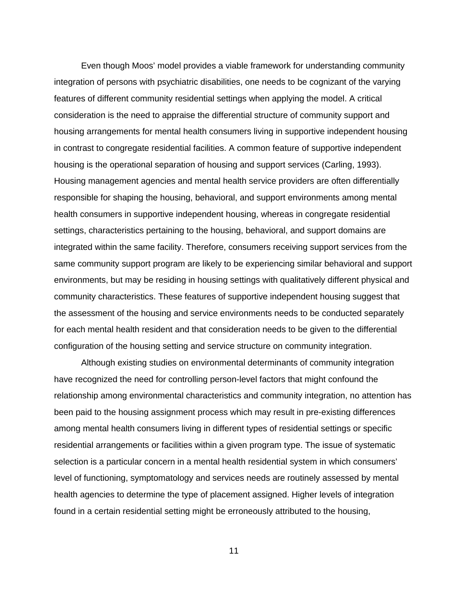Even though Moos' model provides a viable framework for understanding community integration of persons with psychiatric disabilities, one needs to be cognizant of the varying features of different community residential settings when applying the model. A critical consideration is the need to appraise the differential structure of community support and housing arrangements for mental health consumers living in supportive independent housing in contrast to congregate residential facilities. A common feature of supportive independent housing is the operational separation of housing and support services (Carling, 1993). Housing management agencies and mental health service providers are often differentially responsible for shaping the housing, behavioral, and support environments among mental health consumers in supportive independent housing, whereas in congregate residential settings, characteristics pertaining to the housing, behavioral, and support domains are integrated within the same facility. Therefore, consumers receiving support services from the same community support program are likely to be experiencing similar behavioral and support environments, but may be residing in housing settings with qualitatively different physical and community characteristics. These features of supportive independent housing suggest that the assessment of the housing and service environments needs to be conducted separately for each mental health resident and that consideration needs to be given to the differential configuration of the housing setting and service structure on community integration.

 Although existing studies on environmental determinants of community integration have recognized the need for controlling person-level factors that might confound the relationship among environmental characteristics and community integration, no attention has been paid to the housing assignment process which may result in pre-existing differences among mental health consumers living in different types of residential settings or specific residential arrangements or facilities within a given program type. The issue of systematic selection is a particular concern in a mental health residential system in which consumers' level of functioning, symptomatology and services needs are routinely assessed by mental health agencies to determine the type of placement assigned. Higher levels of integration found in a certain residential setting might be erroneously attributed to the housing,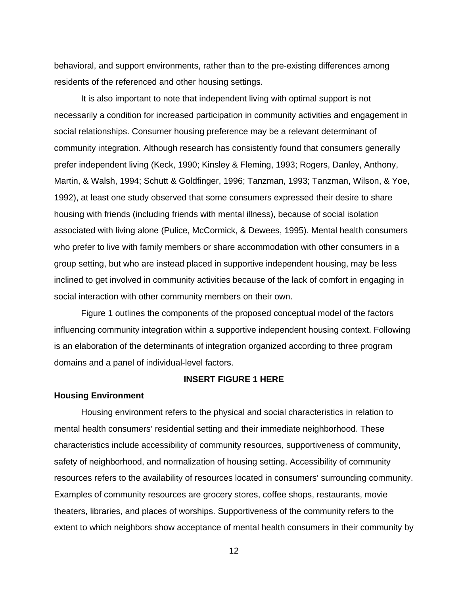behavioral, and support environments, rather than to the pre-existing differences among residents of the referenced and other housing settings.

It is also important to note that independent living with optimal support is not necessarily a condition for increased participation in community activities and engagement in social relationships. Consumer housing preference may be a relevant determinant of community integration. Although research has consistently found that consumers generally prefer independent living (Keck, 1990; Kinsley & Fleming, 1993; Rogers, Danley, Anthony, Martin, & Walsh, 1994; Schutt & Goldfinger, 1996; Tanzman, 1993; Tanzman, Wilson, & Yoe, 1992), at least one study observed that some consumers expressed their desire to share housing with friends (including friends with mental illness), because of social isolation associated with living alone (Pulice, McCormick, & Dewees, 1995). Mental health consumers who prefer to live with family members or share accommodation with other consumers in a group setting, but who are instead placed in supportive independent housing, may be less inclined to get involved in community activities because of the lack of comfort in engaging in social interaction with other community members on their own.

 Figure 1 outlines the components of the proposed conceptual model of the factors influencing community integration within a supportive independent housing context. Following is an elaboration of the determinants of integration organized according to three program domains and a panel of individual-level factors.

#### **INSERT FIGURE 1 HERE**

#### **Housing Environment**

 Housing environment refers to the physical and social characteristics in relation to mental health consumers' residential setting and their immediate neighborhood. These characteristics include accessibility of community resources, supportiveness of community, safety of neighborhood, and normalization of housing setting. Accessibility of community resources refers to the availability of resources located in consumers' surrounding community. Examples of community resources are grocery stores, coffee shops, restaurants, movie theaters, libraries, and places of worships. Supportiveness of the community refers to the extent to which neighbors show acceptance of mental health consumers in their community by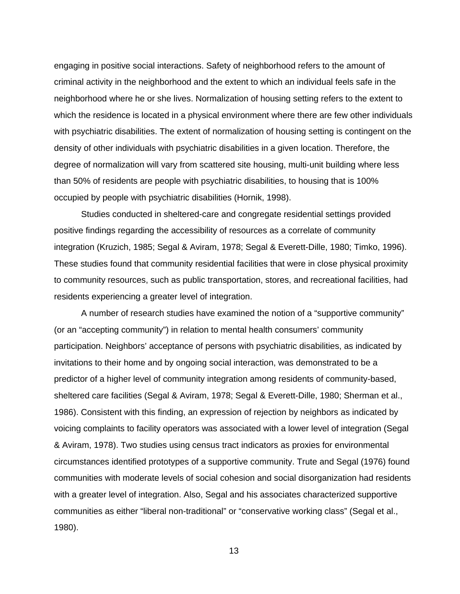engaging in positive social interactions. Safety of neighborhood refers to the amount of criminal activity in the neighborhood and the extent to which an individual feels safe in the neighborhood where he or she lives. Normalization of housing setting refers to the extent to which the residence is located in a physical environment where there are few other individuals with psychiatric disabilities. The extent of normalization of housing setting is contingent on the density of other individuals with psychiatric disabilities in a given location. Therefore, the degree of normalization will vary from scattered site housing, multi-unit building where less than 50% of residents are people with psychiatric disabilities, to housing that is 100% occupied by people with psychiatric disabilities (Hornik, 1998).

Studies conducted in sheltered-care and congregate residential settings provided positive findings regarding the accessibility of resources as a correlate of community integration (Kruzich, 1985; Segal & Aviram, 1978; Segal & Everett-Dille, 1980; Timko, 1996). These studies found that community residential facilities that were in close physical proximity to community resources, such as public transportation, stores, and recreational facilities, had residents experiencing a greater level of integration.

A number of research studies have examined the notion of a "supportive community" (or an "accepting community") in relation to mental health consumers' community participation. Neighbors' acceptance of persons with psychiatric disabilities, as indicated by invitations to their home and by ongoing social interaction, was demonstrated to be a predictor of a higher level of community integration among residents of community-based, sheltered care facilities (Segal & Aviram, 1978; Segal & Everett-Dille, 1980; Sherman et al., 1986). Consistent with this finding, an expression of rejection by neighbors as indicated by voicing complaints to facility operators was associated with a lower level of integration (Segal & Aviram, 1978). Two studies using census tract indicators as proxies for environmental circumstances identified prototypes of a supportive community. Trute and Segal (1976) found communities with moderate levels of social cohesion and social disorganization had residents with a greater level of integration. Also, Segal and his associates characterized supportive communities as either "liberal non-traditional" or "conservative working class" (Segal et al., 1980).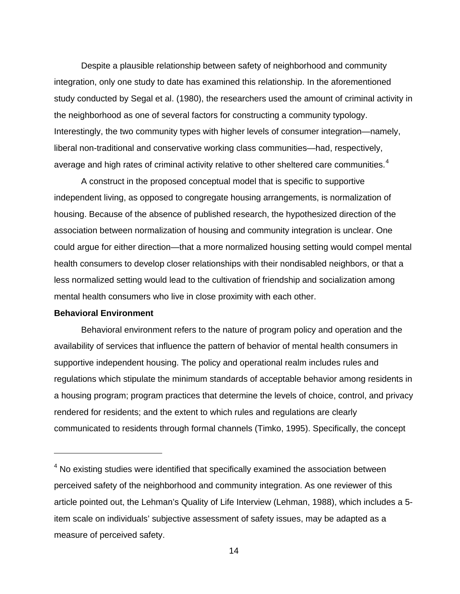<span id="page-16-0"></span>Despite a plausible relationship between safety of neighborhood and community integration, only one study to date has examined this relationship. In the aforementioned study conducted by Segal et al. (1980), the researchers used the amount of criminal activity in the neighborhood as one of several factors for constructing a community typology. Interestingly, the two community types with higher levels of consumer integration—namely, liberal non-traditional and conservative working class communities—had, respectively, average and high rates of criminal activity relative to other sheltered care communities.<sup>[4](#page-16-0)</sup>

A construct in the proposed conceptual model that is specific to supportive independent living, as opposed to congregate housing arrangements, is normalization of housing. Because of the absence of published research, the hypothesized direction of the association between normalization of housing and community integration is unclear. One could argue for either direction—that a more normalized housing setting would compel mental health consumers to develop closer relationships with their nondisabled neighbors, or that a less normalized setting would lead to the cultivation of friendship and socialization among mental health consumers who live in close proximity with each other.

#### **Behavioral Environment**

 $\overline{a}$ 

Behavioral environment refers to the nature of program policy and operation and the availability of services that influence the pattern of behavior of mental health consumers in supportive independent housing. The policy and operational realm includes rules and regulations which stipulate the minimum standards of acceptable behavior among residents in a housing program; program practices that determine the levels of choice, control, and privacy rendered for residents; and the extent to which rules and regulations are clearly communicated to residents through formal channels (Timko, 1995). Specifically, the concept

 $4$  No existing studies were identified that specifically examined the association between perceived safety of the neighborhood and community integration. As one reviewer of this article pointed out, the Lehman's Quality of Life Interview (Lehman, 1988), which includes a 5 item scale on individuals' subjective assessment of safety issues, may be adapted as a measure of perceived safety.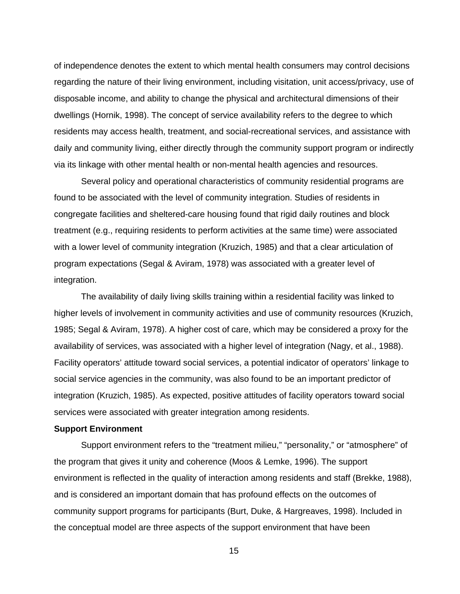of independence denotes the extent to which mental health consumers may control decisions regarding the nature of their living environment, including visitation, unit access/privacy, use of disposable income, and ability to change the physical and architectural dimensions of their dwellings (Hornik, 1998). The concept of service availability refers to the degree to which residents may access health, treatment, and social-recreational services, and assistance with daily and community living, either directly through the community support program or indirectly via its linkage with other mental health or non-mental health agencies and resources.

Several policy and operational characteristics of community residential programs are found to be associated with the level of community integration. Studies of residents in congregate facilities and sheltered-care housing found that rigid daily routines and block treatment (e.g., requiring residents to perform activities at the same time) were associated with a lower level of community integration (Kruzich, 1985) and that a clear articulation of program expectations (Segal & Aviram, 1978) was associated with a greater level of integration.

The availability of daily living skills training within a residential facility was linked to higher levels of involvement in community activities and use of community resources (Kruzich, 1985; Segal & Aviram, 1978). A higher cost of care, which may be considered a proxy for the availability of services, was associated with a higher level of integration (Nagy, et al., 1988). Facility operators' attitude toward social services, a potential indicator of operators' linkage to social service agencies in the community, was also found to be an important predictor of integration (Kruzich, 1985). As expected, positive attitudes of facility operators toward social services were associated with greater integration among residents.

#### **Support Environment**

Support environment refers to the "treatment milieu," "personality," or "atmosphere" of the program that gives it unity and coherence (Moos & Lemke, 1996). The support environment is reflected in the quality of interaction among residents and staff (Brekke, 1988), and is considered an important domain that has profound effects on the outcomes of community support programs for participants (Burt, Duke, & Hargreaves, 1998). Included in the conceptual model are three aspects of the support environment that have been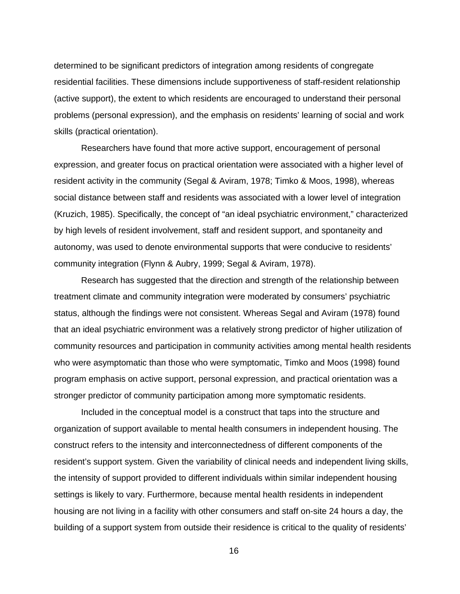determined to be significant predictors of integration among residents of congregate residential facilities. These dimensions include supportiveness of staff-resident relationship (active support), the extent to which residents are encouraged to understand their personal problems (personal expression), and the emphasis on residents' learning of social and work skills (practical orientation).

 Researchers have found that more active support, encouragement of personal expression, and greater focus on practical orientation were associated with a higher level of resident activity in the community (Segal & Aviram, 1978; Timko & Moos, 1998), whereas social distance between staff and residents was associated with a lower level of integration (Kruzich, 1985). Specifically, the concept of "an ideal psychiatric environment," characterized by high levels of resident involvement, staff and resident support, and spontaneity and autonomy, was used to denote environmental supports that were conducive to residents' community integration (Flynn & Aubry, 1999; Segal & Aviram, 1978).

Research has suggested that the direction and strength of the relationship between treatment climate and community integration were moderated by consumers' psychiatric status, although the findings were not consistent. Whereas Segal and Aviram (1978) found that an ideal psychiatric environment was a relatively strong predictor of higher utilization of community resources and participation in community activities among mental health residents who were asymptomatic than those who were symptomatic, Timko and Moos (1998) found program emphasis on active support, personal expression, and practical orientation was a stronger predictor of community participation among more symptomatic residents.

 Included in the conceptual model is a construct that taps into the structure and organization of support available to mental health consumers in independent housing. The construct refers to the intensity and interconnectedness of different components of the resident's support system. Given the variability of clinical needs and independent living skills, the intensity of support provided to different individuals within similar independent housing settings is likely to vary. Furthermore, because mental health residents in independent housing are not living in a facility with other consumers and staff on-site 24 hours a day, the building of a support system from outside their residence is critical to the quality of residents'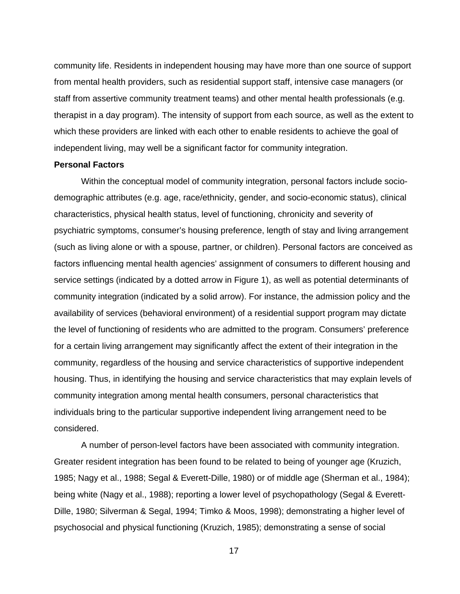community life. Residents in independent housing may have more than one source of support from mental health providers, such as residential support staff, intensive case managers (or staff from assertive community treatment teams) and other mental health professionals (e.g. therapist in a day program). The intensity of support from each source, as well as the extent to which these providers are linked with each other to enable residents to achieve the goal of independent living, may well be a significant factor for community integration.

#### **Personal Factors**

Within the conceptual model of community integration, personal factors include sociodemographic attributes (e.g. age, race/ethnicity, gender, and socio-economic status), clinical characteristics, physical health status, level of functioning, chronicity and severity of psychiatric symptoms, consumer's housing preference, length of stay and living arrangement (such as living alone or with a spouse, partner, or children). Personal factors are conceived as factors influencing mental health agencies' assignment of consumers to different housing and service settings (indicated by a dotted arrow in Figure 1), as well as potential determinants of community integration (indicated by a solid arrow). For instance, the admission policy and the availability of services (behavioral environment) of a residential support program may dictate the level of functioning of residents who are admitted to the program. Consumers' preference for a certain living arrangement may significantly affect the extent of their integration in the community, regardless of the housing and service characteristics of supportive independent housing. Thus, in identifying the housing and service characteristics that may explain levels of community integration among mental health consumers, personal characteristics that individuals bring to the particular supportive independent living arrangement need to be considered.

A number of person-level factors have been associated with community integration. Greater resident integration has been found to be related to being of younger age (Kruzich, 1985; Nagy et al., 1988; Segal & Everett-Dille, 1980) or of middle age (Sherman et al., 1984); being white (Nagy et al., 1988); reporting a lower level of psychopathology (Segal & Everett-Dille, 1980; Silverman & Segal, 1994; Timko & Moos, 1998); demonstrating a higher level of psychosocial and physical functioning (Kruzich, 1985); demonstrating a sense of social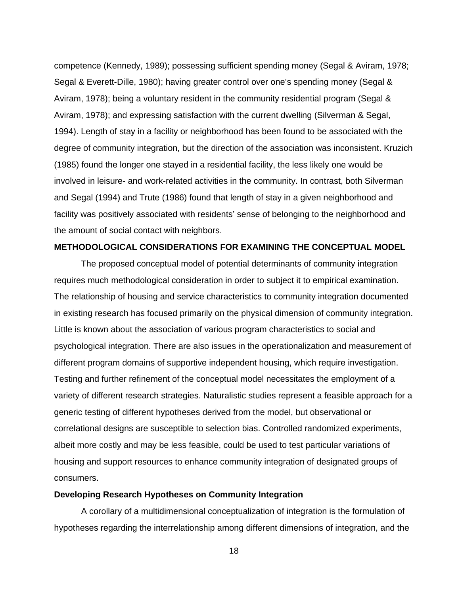competence (Kennedy, 1989); possessing sufficient spending money (Segal & Aviram, 1978; Segal & Everett-Dille, 1980); having greater control over one's spending money (Segal & Aviram, 1978); being a voluntary resident in the community residential program (Segal & Aviram, 1978); and expressing satisfaction with the current dwelling (Silverman & Segal, 1994). Length of stay in a facility or neighborhood has been found to be associated with the degree of community integration, but the direction of the association was inconsistent. Kruzich (1985) found the longer one stayed in a residential facility, the less likely one would be involved in leisure- and work-related activities in the community. In contrast, both Silverman and Segal (1994) and Trute (1986) found that length of stay in a given neighborhood and facility was positively associated with residents' sense of belonging to the neighborhood and the amount of social contact with neighbors.

#### **METHODOLOGICAL CONSIDERATIONS FOR EXAMINING THE CONCEPTUAL MODEL**

 The proposed conceptual model of potential determinants of community integration requires much methodological consideration in order to subject it to empirical examination. The relationship of housing and service characteristics to community integration documented in existing research has focused primarily on the physical dimension of community integration. Little is known about the association of various program characteristics to social and psychological integration. There are also issues in the operationalization and measurement of different program domains of supportive independent housing, which require investigation. Testing and further refinement of the conceptual model necessitates the employment of a variety of different research strategies. Naturalistic studies represent a feasible approach for a generic testing of different hypotheses derived from the model, but observational or correlational designs are susceptible to selection bias. Controlled randomized experiments, albeit more costly and may be less feasible, could be used to test particular variations of housing and support resources to enhance community integration of designated groups of consumers.

#### **Developing Research Hypotheses on Community Integration**

 A corollary of a multidimensional conceptualization of integration is the formulation of hypotheses regarding the interrelationship among different dimensions of integration, and the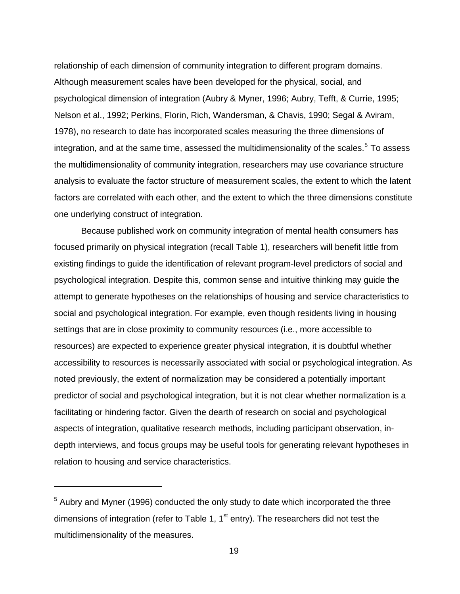<span id="page-21-0"></span>relationship of each dimension of community integration to different program domains. Although measurement scales have been developed for the physical, social, and psychological dimension of integration (Aubry & Myner, 1996; Aubry, Tefft, & Currie, 1995; Nelson et al., 1992; Perkins, Florin, Rich, Wandersman, & Chavis, 1990; Segal & Aviram, 1978), no research to date has incorporated scales measuring the three dimensions of integration, and at the same time, assessed the multidimensionality of the scales.<sup>[5](#page-21-0)</sup> To assess the multidimensionality of community integration, researchers may use covariance structure analysis to evaluate the factor structure of measurement scales, the extent to which the latent factors are correlated with each other, and the extent to which the three dimensions constitute one underlying construct of integration.

 Because published work on community integration of mental health consumers has focused primarily on physical integration (recall Table 1), researchers will benefit little from existing findings to guide the identification of relevant program-level predictors of social and psychological integration. Despite this, common sense and intuitive thinking may guide the attempt to generate hypotheses on the relationships of housing and service characteristics to social and psychological integration. For example, even though residents living in housing settings that are in close proximity to community resources (i.e., more accessible to resources) are expected to experience greater physical integration, it is doubtful whether accessibility to resources is necessarily associated with social or psychological integration. As noted previously, the extent of normalization may be considered a potentially important predictor of social and psychological integration, but it is not clear whether normalization is a facilitating or hindering factor. Given the dearth of research on social and psychological aspects of integration, qualitative research methods, including participant observation, indepth interviews, and focus groups may be useful tools for generating relevant hypotheses in relation to housing and service characteristics.

 $5$  Aubry and Myner (1996) conducted the only study to date which incorporated the three dimensions of integration (refer to Table 1,  $1<sup>st</sup>$  entry). The researchers did not test the multidimensionality of the measures.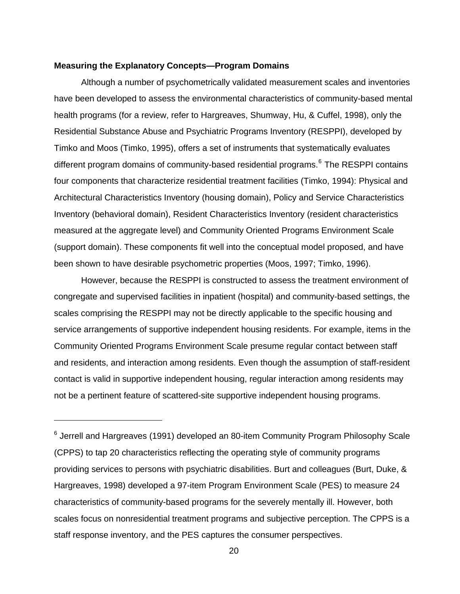#### <span id="page-22-0"></span>**Measuring the Explanatory Concepts—Program Domains**

 $\overline{a}$ 

 Although a number of psychometrically validated measurement scales and inventories have been developed to assess the environmental characteristics of community-based mental health programs (for a review, refer to Hargreaves, Shumway, Hu, & Cuffel, 1998), only the Residential Substance Abuse and Psychiatric Programs Inventory (RESPPI), developed by Timko and Moos (Timko, 1995), offers a set of instruments that systematically evaluates different program domains of community-based residential programs.<sup>[6](#page-22-0)</sup> The RESPPI contains four components that characterize residential treatment facilities (Timko, 1994): Physical and Architectural Characteristics Inventory (housing domain), Policy and Service Characteristics Inventory (behavioral domain), Resident Characteristics Inventory (resident characteristics measured at the aggregate level) and Community Oriented Programs Environment Scale (support domain). These components fit well into the conceptual model proposed, and have been shown to have desirable psychometric properties (Moos, 1997; Timko, 1996).

 However, because the RESPPI is constructed to assess the treatment environment of congregate and supervised facilities in inpatient (hospital) and community-based settings, the scales comprising the RESPPI may not be directly applicable to the specific housing and service arrangements of supportive independent housing residents. For example, items in the Community Oriented Programs Environment Scale presume regular contact between staff and residents, and interaction among residents. Even though the assumption of staff-resident contact is valid in supportive independent housing, regular interaction among residents may not be a pertinent feature of scattered-site supportive independent housing programs.

<sup>&</sup>lt;sup>6</sup> Jerrell and Hargreaves (1991) developed an 80-item Community Program Philosophy Scale (CPPS) to tap 20 characteristics reflecting the operating style of community programs providing services to persons with psychiatric disabilities. Burt and colleagues (Burt, Duke, & Hargreaves, 1998) developed a 97-item Program Environment Scale (PES) to measure 24 characteristics of community-based programs for the severely mentally ill. However, both scales focus on nonresidential treatment programs and subjective perception. The CPPS is a staff response inventory, and the PES captures the consumer perspectives.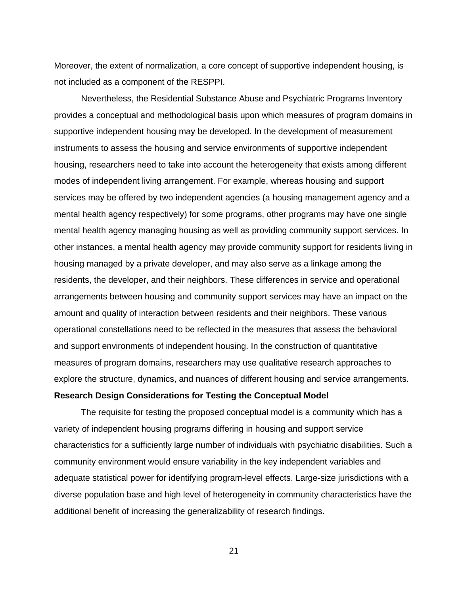Moreover, the extent of normalization, a core concept of supportive independent housing, is not included as a component of the RESPPI.

 Nevertheless, the Residential Substance Abuse and Psychiatric Programs Inventory provides a conceptual and methodological basis upon which measures of program domains in supportive independent housing may be developed. In the development of measurement instruments to assess the housing and service environments of supportive independent housing, researchers need to take into account the heterogeneity that exists among different modes of independent living arrangement. For example, whereas housing and support services may be offered by two independent agencies (a housing management agency and a mental health agency respectively) for some programs, other programs may have one single mental health agency managing housing as well as providing community support services. In other instances, a mental health agency may provide community support for residents living in housing managed by a private developer, and may also serve as a linkage among the residents, the developer, and their neighbors. These differences in service and operational arrangements between housing and community support services may have an impact on the amount and quality of interaction between residents and their neighbors. These various operational constellations need to be reflected in the measures that assess the behavioral and support environments of independent housing. In the construction of quantitative measures of program domains, researchers may use qualitative research approaches to explore the structure, dynamics, and nuances of different housing and service arrangements. **Research Design Considerations for Testing the Conceptual Model** 

 The requisite for testing the proposed conceptual model is a community which has a variety of independent housing programs differing in housing and support service characteristics for a sufficiently large number of individuals with psychiatric disabilities. Such a community environment would ensure variability in the key independent variables and adequate statistical power for identifying program-level effects. Large-size jurisdictions with a diverse population base and high level of heterogeneity in community characteristics have the additional benefit of increasing the generalizability of research findings.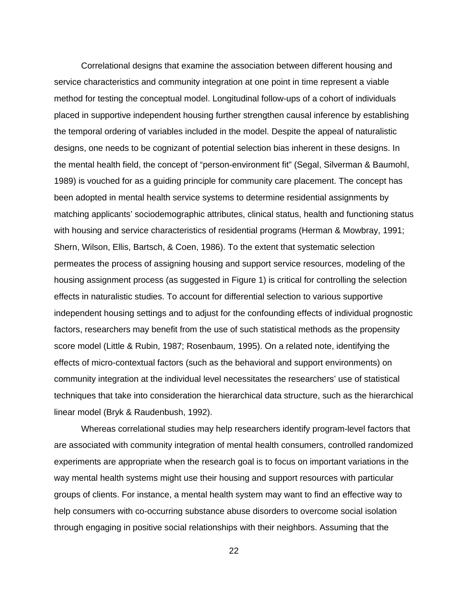Correlational designs that examine the association between different housing and service characteristics and community integration at one point in time represent a viable method for testing the conceptual model. Longitudinal follow-ups of a cohort of individuals placed in supportive independent housing further strengthen causal inference by establishing the temporal ordering of variables included in the model. Despite the appeal of naturalistic designs, one needs to be cognizant of potential selection bias inherent in these designs. In the mental health field, the concept of "person-environment fit" (Segal, Silverman & Baumohl, 1989) is vouched for as a guiding principle for community care placement. The concept has been adopted in mental health service systems to determine residential assignments by matching applicants' sociodemographic attributes, clinical status, health and functioning status with housing and service characteristics of residential programs (Herman & Mowbray, 1991; Shern, Wilson, Ellis, Bartsch, & Coen, 1986). To the extent that systematic selection permeates the process of assigning housing and support service resources, modeling of the housing assignment process (as suggested in Figure 1) is critical for controlling the selection effects in naturalistic studies. To account for differential selection to various supportive independent housing settings and to adjust for the confounding effects of individual prognostic factors, researchers may benefit from the use of such statistical methods as the propensity score model (Little & Rubin, 1987; Rosenbaum, 1995). On a related note, identifying the effects of micro-contextual factors (such as the behavioral and support environments) on community integration at the individual level necessitates the researchers' use of statistical techniques that take into consideration the hierarchical data structure, such as the hierarchical linear model (Bryk & Raudenbush, 1992).

Whereas correlational studies may help researchers identify program-level factors that are associated with community integration of mental health consumers, controlled randomized experiments are appropriate when the research goal is to focus on important variations in the way mental health systems might use their housing and support resources with particular groups of clients. For instance, a mental health system may want to find an effective way to help consumers with co-occurring substance abuse disorders to overcome social isolation through engaging in positive social relationships with their neighbors. Assuming that the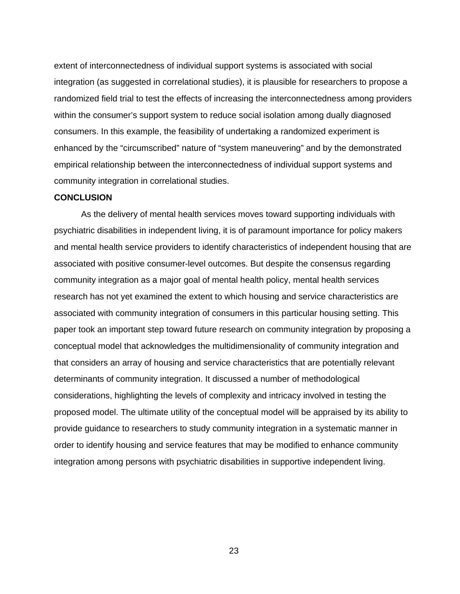extent of interconnectedness of individual support systems is associated with social integration (as suggested in correlational studies), it is plausible for researchers to propose a randomized field trial to test the effects of increasing the interconnectedness among providers within the consumer's support system to reduce social isolation among dually diagnosed consumers. In this example, the feasibility of undertaking a randomized experiment is enhanced by the "circumscribed" nature of "system maneuvering" and by the demonstrated empirical relationship between the interconnectedness of individual support systems and community integration in correlational studies.

#### **CONCLUSION**

As the delivery of mental health services moves toward supporting individuals with psychiatric disabilities in independent living, it is of paramount importance for policy makers and mental health service providers to identify characteristics of independent housing that are associated with positive consumer-level outcomes. But despite the consensus regarding community integration as a major goal of mental health policy, mental health services research has not yet examined the extent to which housing and service characteristics are associated with community integration of consumers in this particular housing setting. This paper took an important step toward future research on community integration by proposing a conceptual model that acknowledges the multidimensionality of community integration and that considers an array of housing and service characteristics that are potentially relevant determinants of community integration. It discussed a number of methodological considerations, highlighting the levels of complexity and intricacy involved in testing the proposed model. The ultimate utility of the conceptual model will be appraised by its ability to provide guidance to researchers to study community integration in a systematic manner in order to identify housing and service features that may be modified to enhance community integration among persons with psychiatric disabilities in supportive independent living.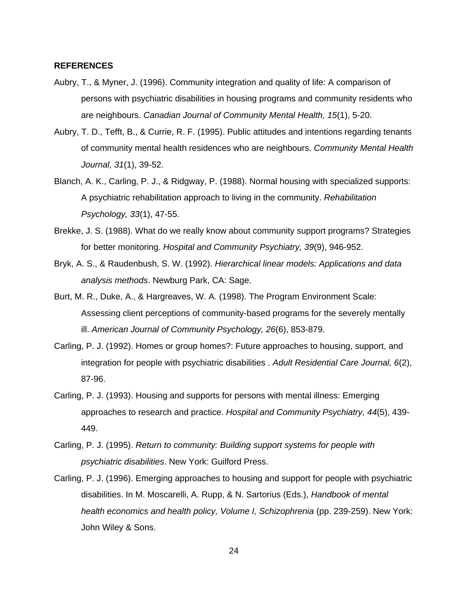#### **REFERENCES**

- Aubry, T., & Myner, J. (1996). Community integration and quality of life: A comparison of persons with psychiatric disabilities in housing programs and community residents who are neighbours. *Canadian Journal of Community Mental Health, 15*(1), 5-20.
- Aubry, T. D., Tefft, B., & Currie, R. F. (1995). Public attitudes and intentions regarding tenants of community mental health residences who are neighbours. *Community Mental Health Journal, 31*(1), 39-52.
- Blanch, A. K., Carling, P. J., & Ridgway, P. (1988). Normal housing with specialized supports: A psychiatric rehabilitation approach to living in the community. *Rehabilitation Psychology, 33*(1), 47-55.
- Brekke, J. S. (1988). What do we really know about community support programs? Strategies for better monitoring. *Hospital and Community Psychiatry, 39*(9), 946-952.
- Bryk, A. S., & Raudenbush, S. W. (1992). *Hierarchical linear models: Applications and data analysis methods*. Newburg Park, CA: Sage.
- Burt, M. R., Duke, A., & Hargreaves, W. A. (1998). The Program Environment Scale: Assessing client perceptions of community-based programs for the severely mentally ill. *American Journal of Community Psychology, 26*(6), 853-879.
- Carling, P. J. (1992). Homes or group homes?: Future approaches to housing, support, and integration for people with psychiatric disabilities . *Adult Residential Care Journal, 6*(2), 87-96.
- Carling, P. J. (1993). Housing and supports for persons with mental illness: Emerging approaches to research and practice. *Hospital and Community Psychiatry, 44*(5), 439- 449.
- Carling, P. J. (1995). *Return to community: Building support systems for people with psychiatric disabilities*. New York: Guilford Press.
- Carling, P. J. (1996). Emerging approaches to housing and support for people with psychiatric disabilities. In M. Moscarelli, A. Rupp, & N. Sartorius (Eds.), *Handbook of mental health economics and health policy, Volume I, Schizophrenia* (pp. 239-259). New York: John Wiley & Sons.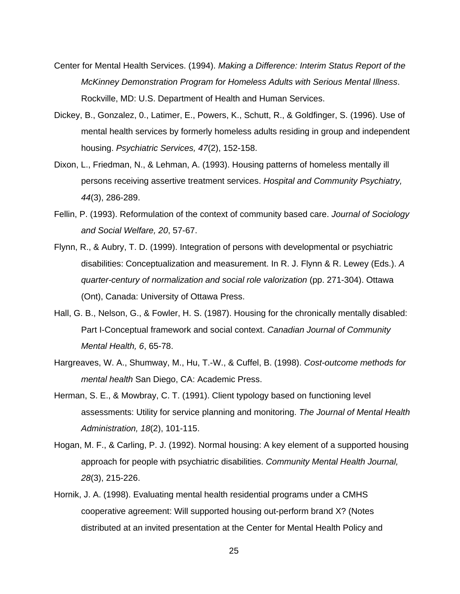- Center for Mental Health Services. (1994). *Making a Difference: Interim Status Report of the McKinney Demonstration Program for Homeless Adults with Serious Mental Illness*. Rockville, MD: U.S. Department of Health and Human Services.
- Dickey, B., Gonzalez, 0., Latimer, E., Powers, K., Schutt, R., & Goldfinger, S. (1996). Use of mental health services by formerly homeless adults residing in group and independent housing. *Psychiatric Services, 47*(2), 152-158.
- Dixon, L., Friedman, N., & Lehman, A. (1993). Housing patterns of homeless mentally ill persons receiving assertive treatment services. *Hospital and Community Psychiatry, 44*(3), 286-289.
- Fellin, P. (1993). Reformulation of the context of community based care. *Journal of Sociology and Social Welfare, 20*, 57-67.
- Flynn, R., & Aubry, T. D. (1999). Integration of persons with developmental or psychiatric disabilities: Conceptualization and measurement. In R. J. Flynn & R. Lewey (Eds.). *A quarter-century of normalization and social role valorization* (pp. 271-304). Ottawa (Ont), Canada: University of Ottawa Press.
- Hall, G. B., Nelson, G., & Fowler, H. S. (1987). Housing for the chronically mentally disabled: Part I-Conceptual framework and social context. *Canadian Journal of Community Mental Health, 6*, 65-78.
- Hargreaves, W. A., Shumway, M., Hu, T.-W., & Cuffel, B. (1998). *Cost-outcome methods for mental health* San Diego, CA: Academic Press.
- Herman, S. E., & Mowbray, C. T. (1991). Client typology based on functioning level assessments: Utility for service planning and monitoring. *The Journal of Mental Health Administration, 18*(2), 101-115.
- Hogan, M. F., & Carling, P. J. (1992). Normal housing: A key element of a supported housing approach for people with psychiatric disabilities. *Community Mental Health Journal, 28*(3), 215-226.
- Hornik, J. A. (1998). Evaluating mental health residential programs under a CMHS cooperative agreement: Will supported housing out-perform brand X? (Notes distributed at an invited presentation at the Center for Mental Health Policy and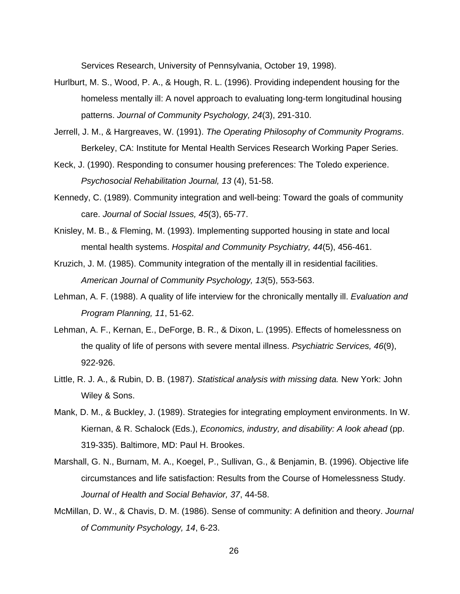Services Research, University of Pennsylvania, October 19, 1998).

- Hurlburt, M. S., Wood, P. A., & Hough, R. L. (1996). Providing independent housing for the homeless mentally ill: A novel approach to evaluating long-term longitudinal housing patterns. *Journal of Community Psychology, 24*(3), 291-310.
- Jerrell, J. M., & Hargreaves, W. (1991). *The Operating Philosophy of Community Programs*. Berkeley, CA: Institute for Mental Health Services Research Working Paper Series.
- Keck, J. (1990). Responding to consumer housing preferences: The Toledo experience. *Psychosocial Rehabilitation Journal, 13* (4), 51-58.
- Kennedy, C. (1989). Community integration and well-being: Toward the goals of community care. *Journal of Social Issues, 45*(3), 65-77.
- Knisley, M. B., & Fleming, M. (1993). Implementing supported housing in state and local mental health systems. *Hospital and Community Psychiatry, 44*(5), 456-461.
- Kruzich, J. M. (1985). Community integration of the mentally ill in residential facilities. *American Journal of Community Psychology, 13*(5), 553-563.
- Lehman, A. F. (1988). A quality of life interview for the chronically mentally ill. *Evaluation and Program Planning, 11*, 51-62.
- Lehman, A. F., Kernan, E., DeForge, B. R., & Dixon, L. (1995). Effects of homelessness on the quality of life of persons with severe mental illness. *Psychiatric Services, 46*(9), 922-926.
- Little, R. J. A., & Rubin, D. B. (1987). *Statistical analysis with missing data.* New York: John Wiley & Sons.
- Mank, D. M., & Buckley, J. (1989). Strategies for integrating employment environments. In W. Kiernan, & R. Schalock (Eds.), *Economics, industry, and disability: A look ahead* (pp. 319-335). Baltimore, MD: Paul H. Brookes.
- Marshall, G. N., Burnam, M. A., Koegel, P., Sullivan, G., & Benjamin, B. (1996). Objective life circumstances and life satisfaction: Results from the Course of Homelessness Study. *Journal of Health and Social Behavior, 37*, 44-58.
- McMillan, D. W., & Chavis, D. M. (1986). Sense of community: A definition and theory. *Journal of Community Psychology, 14*, 6-23.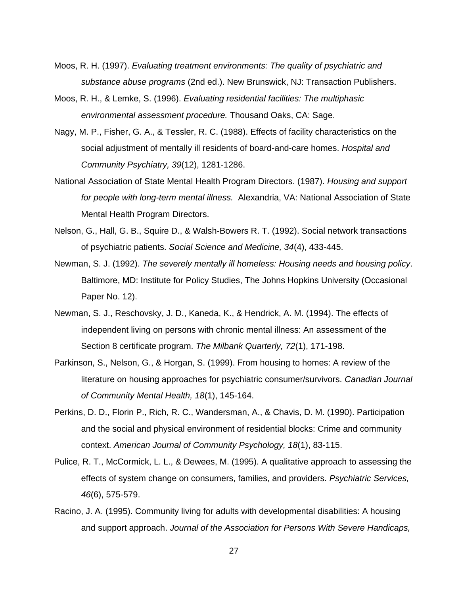- Moos, R. H. (1997). *Evaluating treatment environments: The quality of psychiatric and substance abuse programs* (2nd ed.). New Brunswick, NJ: Transaction Publishers.
- Moos, R. H., & Lemke, S. (1996). *Evaluating residential facilities: The multiphasic environmental assessment procedure.* Thousand Oaks, CA: Sage.
- Nagy, M. P., Fisher, G. A., & Tessler, R. C. (1988). Effects of facility characteristics on the social adjustment of mentally ill residents of board-and-care homes. *Hospital and Community Psychiatry, 39*(12), 1281-1286.
- National Association of State Mental Health Program Directors. (1987). *Housing and support for people with long-term mental illness.* Alexandria, VA: National Association of State Mental Health Program Directors.
- Nelson, G., Hall, G. B., Squire D., & Walsh-Bowers R. T. (1992). Social network transactions of psychiatric patients. *Social Science and Medicine, 34*(4), 433-445.
- Newman, S. J. (1992). *The severely mentally ill homeless: Housing needs and housing policy*. Baltimore, MD: Institute for Policy Studies, The Johns Hopkins University (Occasional Paper No. 12).
- Newman, S. J., Reschovsky, J. D., Kaneda, K., & Hendrick, A. M. (1994). The effects of independent living on persons with chronic mental illness: An assessment of the Section 8 certificate program. *The Milbank Quarterly, 72*(1), 171-198.
- Parkinson, S., Nelson, G., & Horgan, S. (1999). From housing to homes: A review of the literature on housing approaches for psychiatric consumer/survivors. *Canadian Journal of Community Mental Health, 18*(1), 145-164.
- Perkins, D. D., Florin P., Rich, R. C., Wandersman, A., & Chavis, D. M. (1990). Participation and the social and physical environment of residential blocks: Crime and community context. *American Journal of Community Psychology, 18*(1), 83-115.
- Pulice, R. T., McCormick, L. L., & Dewees, M. (1995). A qualitative approach to assessing the effects of system change on consumers, families, and providers. *Psychiatric Services, 46*(6), 575-579.
- Racino, J. A. (1995). Community living for adults with developmental disabilities: A housing and support approach. *Journal of the Association for Persons With Severe Handicaps,*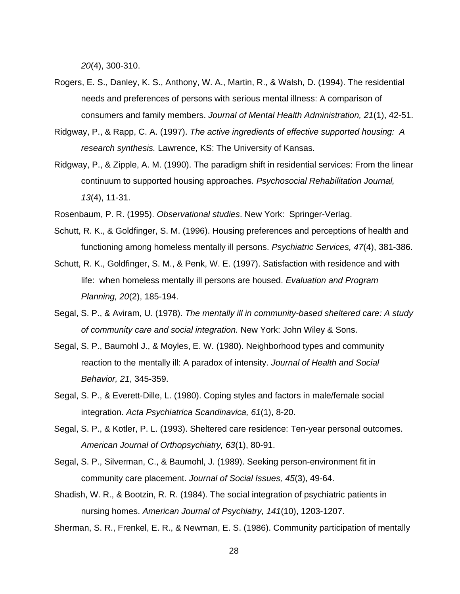*20*(4), 300-310.

- Rogers, E. S., Danley, K. S., Anthony, W. A., Martin, R., & Walsh, D. (1994). The residential needs and preferences of persons with serious mental illness: A comparison of consumers and family members. *Journal of Mental Health Administration, 21*(1), 42-51.
- Ridgway, P., & Rapp, C. A. (1997). *The active ingredients of effective supported housing: A research synthesis.* Lawrence, KS: The University of Kansas.
- Ridgway, P., & Zipple, A. M. (1990). The paradigm shift in residential services: From the linear continuum to supported housing approaches*. Psychosocial Rehabilitation Journal, 13*(4), 11-31.
- Rosenbaum, P. R. (1995). *Observational studies*. New York: Springer-Verlag.
- Schutt, R. K., & Goldfinger, S. M. (1996). Housing preferences and perceptions of health and functioning among homeless mentally ill persons. *Psychiatric Services, 47*(4), 381-386.
- Schutt, R. K., Goldfinger, S. M., & Penk, W. E. (1997). Satisfaction with residence and with life: when homeless mentally ill persons are housed. *Evaluation and Program Planning, 20*(2), 185-194.
- Segal, S. P., & Aviram, U. (1978). *The mentally ill in community-based sheltered care: A study of community care and social integration.* New York: John Wiley & Sons.
- Segal, S. P., Baumohl J., & Moyles, E. W. (1980). Neighborhood types and community reaction to the mentally ill: A paradox of intensity. *Journal of Health and Social Behavior, 21*, 345-359.
- Segal, S. P., & Everett-Dille, L. (1980). Coping styles and factors in male/female social integration. *Acta Psychiatrica Scandinavica, 61*(1), 8-20.
- Segal, S. P., & Kotler, P. L. (1993). Sheltered care residence: Ten-year personal outcomes. *American Journal of Orthopsychiatry, 63*(1), 80-91.
- Segal, S. P., Silverman, C., & Baumohl, J. (1989). Seeking person-environment fit in community care placement. *Journal of Social Issues, 45*(3), 49-64.
- Shadish, W. R., & Bootzin, R. R. (1984). The social integration of psychiatric patients in nursing homes. *American Journal of Psychiatry, 141*(10), 1203-1207.

Sherman, S. R., Frenkel, E. R., & Newman, E. S. (1986). Community participation of mentally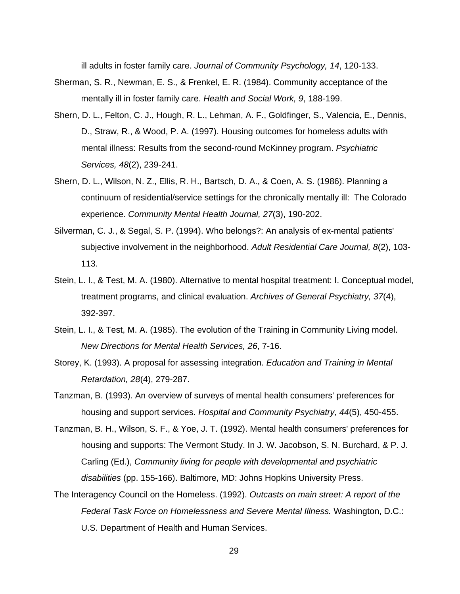ill adults in foster family care. *Journal of Community Psychology, 14*, 120-133.

- Sherman, S. R., Newman, E. S., & Frenkel, E. R. (1984). Community acceptance of the mentally ill in foster family care. *Health and Social Work, 9*, 188-199.
- Shern, D. L., Felton, C. J., Hough, R. L., Lehman, A. F., Goldfinger, S., Valencia, E., Dennis, D., Straw, R., & Wood, P. A. (1997). Housing outcomes for homeless adults with mental illness: Results from the second-round McKinney program. *Psychiatric Services, 48*(2), 239-241.
- Shern, D. L., Wilson, N. Z., Ellis, R. H., Bartsch, D. A., & Coen, A. S. (1986). Planning a continuum of residential/service settings for the chronically mentally ill: The Colorado experience. *Community Mental Health Journal, 27*(3), 190-202.
- Silverman, C. J., & Segal, S. P. (1994). Who belongs?: An analysis of ex-mental patients' subjective involvement in the neighborhood. *Adult Residential Care Journal, 8*(2), 103- 113.
- Stein, L. I., & Test, M. A. (1980). Alternative to mental hospital treatment: I. Conceptual model, treatment programs, and clinical evaluation. *Archives of General Psychiatry, 37*(4), 392-397.
- Stein, L. I., & Test, M. A. (1985). The evolution of the Training in Community Living model. *New Directions for Mental Health Services, 26*, 7-16.
- Storey, K. (1993). A proposal for assessing integration. *Education and Training in Mental Retardation, 28*(4), 279-287.
- Tanzman, B. (1993). An overview of surveys of mental health consumers' preferences for housing and support services. *Hospital and Community Psychiatry, 44*(5), 450-455.
- Tanzman, B. H., Wilson, S. F., & Yoe, J. T. (1992). Mental health consumers' preferences for housing and supports: The Vermont Study. In J. W. Jacobson, S. N. Burchard, & P. J. Carling (Ed.), *Community living for people with developmental and psychiatric disabilities* (pp. 155-166). Baltimore, MD: Johns Hopkins University Press.
- The Interagency Council on the Homeless. (1992). *Outcasts on main street: A report of the Federal Task Force on Homelessness and Severe Mental Illness.* Washington, D.C.: U.S. Department of Health and Human Services.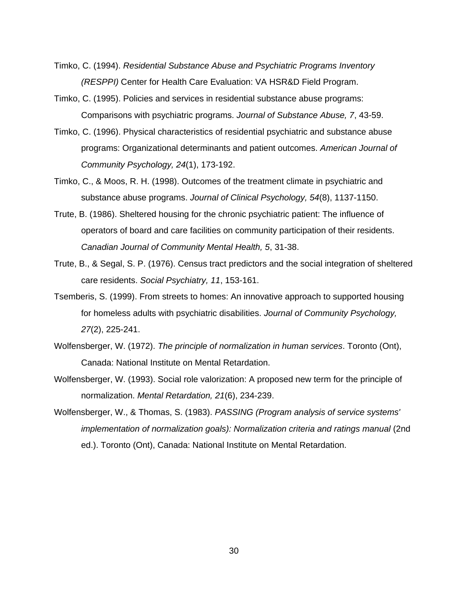- Timko, C. (1994). *Residential Substance Abuse and Psychiatric Programs Inventory (RESPPI)* Center for Health Care Evaluation: VA HSR&D Field Program.
- Timko, C. (1995). Policies and services in residential substance abuse programs: Comparisons with psychiatric programs. *Journal of Substance Abuse, 7*, 43-59.
- Timko, C. (1996). Physical characteristics of residential psychiatric and substance abuse programs: Organizational determinants and patient outcomes. *American Journal of Community Psychology, 24*(1), 173-192.
- Timko, C., & Moos, R. H. (1998). Outcomes of the treatment climate in psychiatric and substance abuse programs. *Journal of Clinical Psychology, 54*(8), 1137-1150.
- Trute, B. (1986). Sheltered housing for the chronic psychiatric patient: The influence of operators of board and care facilities on community participation of their residents. *Canadian Journal of Community Mental Health, 5*, 31-38.
- Trute, B., & Segal, S. P. (1976). Census tract predictors and the social integration of sheltered care residents. *Social Psychiatry, 11*, 153-161.
- Tsemberis, S. (1999). From streets to homes: An innovative approach to supported housing for homeless adults with psychiatric disabilities. *Journal of Community Psychology, 27*(2), 225-241.
- Wolfensberger, W. (1972). *The principle of normalization in human services*. Toronto (Ont), Canada: National Institute on Mental Retardation.
- Wolfensberger, W. (1993). Social role valorization: A proposed new term for the principle of normalization. *Mental Retardation, 21*(6), 234-239.
- Wolfensberger, W., & Thomas, S. (1983). *PASSING (Program analysis of service systems' implementation of normalization goals): Normalization criteria and ratings manual* (2nd ed.). Toronto (Ont), Canada: National Institute on Mental Retardation.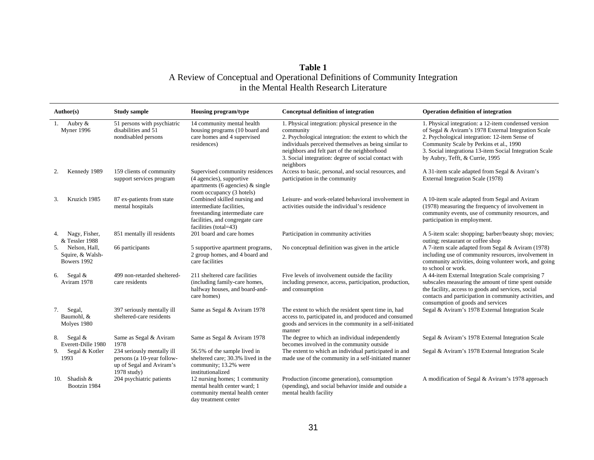# **Table 1**<br>A Review of Conceptual and Operational Definitions of Community Integration in the Mental Health Research Literature

| Author(s)                                               | <b>Study sample</b>                                                                                 | Housing program/type                                                                                                                                   | Conceptual definition of integration                                                                                                                                                                                                                                                                | <b>Operation definition of integration</b>                                                                                                                                                                                                                                                             |
|---------------------------------------------------------|-----------------------------------------------------------------------------------------------------|--------------------------------------------------------------------------------------------------------------------------------------------------------|-----------------------------------------------------------------------------------------------------------------------------------------------------------------------------------------------------------------------------------------------------------------------------------------------------|--------------------------------------------------------------------------------------------------------------------------------------------------------------------------------------------------------------------------------------------------------------------------------------------------------|
| Aubry &<br>-1.<br>Myner 1996                            | 51 persons with psychiatric<br>disabilities and 51<br>nondisabled persons                           | 14 community mental health<br>housing programs (10 board and<br>care homes and 4 supervised<br>residences)                                             | 1. Physical integration: physical presence in the<br>community<br>2. Psychological integration: the extent to which the<br>individuals perceived themselves as being similar to<br>neighbors and felt part of the neighborhood<br>3. Social integration: degree of social contact with<br>neighbors | 1. Physical integration: a 12-item condensed version<br>of Segal & Aviram's 1978 External Integration Scale<br>2. Psychological integration: 12-item Sense of<br>Community Scale by Perkins et al., 1990<br>3. Social integrationa 13-item Social Integration Scale<br>by Aubry, Tefft, & Currie, 1995 |
| Kennedy 1989<br>2.                                      | 159 clients of community<br>support services program                                                | Supervised community residences<br>(4 agencies), supportive<br>apartments (6 agencies) $\&$ single<br>room occupancy (3 hotels)                        | Access to basic, personal, and social resources, and<br>participation in the community                                                                                                                                                                                                              | A 31-item scale adapted from Segal & Aviram's<br>External Integration Scale (1978)                                                                                                                                                                                                                     |
| Kruzich 1985<br>3.                                      | 87 ex-patients from state<br>mental hospitals                                                       | Combined skilled nursing and<br>intermediate facilities,<br>freestanding intermediate care<br>facilities, and congregate care<br>facilities (total=43) | Leisure- and work-related behavioral involvement in<br>activities outside the individual's residence                                                                                                                                                                                                | A 10-item scale adapted from Segal and Aviram<br>(1978) measuring the frequency of involvement in<br>community events, use of community resources, and<br>participation in employment.                                                                                                                 |
| Nagy, Fisher,<br>4.<br>& Tessler 1988                   | 851 mentally ill residents                                                                          | 201 board and care homes                                                                                                                               | Participation in community activities                                                                                                                                                                                                                                                               | A 5-item scale: shopping; barber/beauty shop; movies;<br>outing; restaurant or coffee shop                                                                                                                                                                                                             |
| Nelson, Hall,<br>.5.<br>Squire, & Walsh-<br>Bowers 1992 | 66 participants                                                                                     | 5 supportive apartment programs,<br>2 group homes, and 4 board and<br>care facilities                                                                  | No conceptual definition was given in the article                                                                                                                                                                                                                                                   | A 7-item scale adapted from Segal & Aviram (1978)<br>including use of community resources, involvement in<br>community activities, doing volunteer work, and going<br>to school or work.                                                                                                               |
| Segal &<br>6.<br>Aviram 1978                            | 499 non-retarded sheltered-<br>care residents                                                       | 211 sheltered care facilities<br>(including family-care homes,<br>halfway houses, and board-and-<br>care homes)                                        | Five levels of involvement outside the facility<br>including presence, access, participation, production,<br>and consumption                                                                                                                                                                        | A 44-item External Integration Scale comprising 7<br>subscales measuring the amount of time spent outside<br>the facility, access to goods and services, social<br>contacts and participation in community activities, and<br>consumption of goods and services                                        |
| Segal,<br>7.<br>Baumohl, &<br>Molyes 1980               | 397 seriously mentally ill<br>sheltered-care residents                                              | Same as Segal & Aviram 1978                                                                                                                            | The extent to which the resident spent time in, had<br>access to, participated in, and produced and consumed<br>goods and services in the community in a self-initiated<br>manner                                                                                                                   | Segal & Aviram's 1978 External Integration Scale                                                                                                                                                                                                                                                       |
| 8. Segal $\&$<br>Everett-Dille 1980                     | Same as Segal & Aviram<br>1978                                                                      | Same as Segal & Aviram 1978                                                                                                                            | The degree to which an individual independently<br>becomes involved in the community outside                                                                                                                                                                                                        | Segal & Aviram's 1978 External Integration Scale                                                                                                                                                                                                                                                       |
| Segal & Kotler<br>9.<br>1993                            | 234 seriously mentally ill<br>persons (a 10-year follow-<br>up of Segal and Aviram's<br>1978 study) | 56.5% of the sample lived in<br>sheltered care; 30.3% lived in the<br>community; 13.2% were<br>institutionalized                                       | The extent to which an individual participated in and<br>made use of the community in a self-initiated manner                                                                                                                                                                                       | Segal & Aviram's 1978 External Integration Scale                                                                                                                                                                                                                                                       |
| 10. Shadish &<br>Bootzin 1984                           | 204 psychiatric patients                                                                            | 12 nursing homes; 1 community<br>mental health center ward; 1<br>community mental health center<br>day treatment center                                | Production (income generation), consumption<br>(spending), and social behavior inside and outside a<br>mental health facility                                                                                                                                                                       | A modification of Segal & Aviram's 1978 approach                                                                                                                                                                                                                                                       |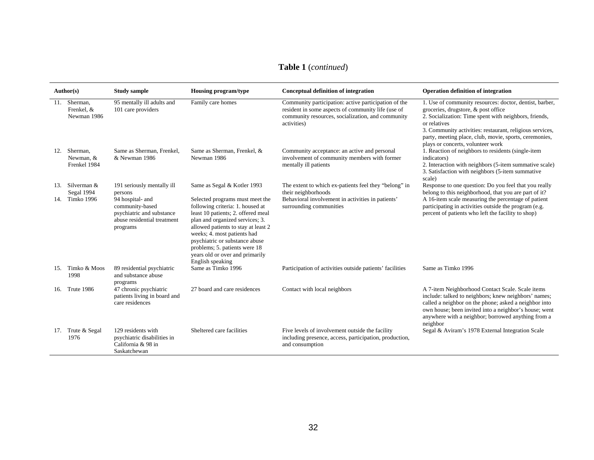## **Table 1** (*continued*)

|     | Author(s)                             | <b>Study sample</b>                                                                                         | <b>Housing program/type</b>                                                                                                                                                                                                                                                                                                                  | Conceptual definition of integration                                                                                                                                           | <b>Operation definition of integration</b>                                                                                                                                                                                                                                                                                         |
|-----|---------------------------------------|-------------------------------------------------------------------------------------------------------------|----------------------------------------------------------------------------------------------------------------------------------------------------------------------------------------------------------------------------------------------------------------------------------------------------------------------------------------------|--------------------------------------------------------------------------------------------------------------------------------------------------------------------------------|------------------------------------------------------------------------------------------------------------------------------------------------------------------------------------------------------------------------------------------------------------------------------------------------------------------------------------|
|     | Sherman,<br>Frenkel, &<br>Newman 1986 | 95 mentally ill adults and<br>101 care providers                                                            | Family care homes                                                                                                                                                                                                                                                                                                                            | Community participation: active participation of the<br>resident in some aspects of community life (use of<br>community resources, socialization, and community<br>activities) | 1. Use of community resources: doctor, dentist, barber,<br>groceries, drugstore, & post office<br>2. Socialization: Time spent with neighbors, friends,<br>or relatives<br>3. Community activities: restaurant, religious services,<br>party, meeting place, club, movie, sports, ceremonies,<br>plays or concerts, volunteer work |
| 12. | Sherman.<br>Newman, &<br>Frenkel 1984 | Same as Sherman, Frenkel.<br>& Newman 1986                                                                  | Same as Sherman, Frenkel, &<br>Newman 1986                                                                                                                                                                                                                                                                                                   | Community acceptance: an active and personal<br>involvement of community members with former<br>mentally ill patients                                                          | 1. Reaction of neighbors to residents (single-item<br>indicators)<br>2. Interaction with neighbors (5-item summative scale)<br>3. Satisfaction with neighbors (5-item summative)<br>scale)                                                                                                                                         |
| 13. | Silverman &<br>Segal 1994             | 191 seriously mentally ill<br>persons                                                                       | Same as Segal & Kotler 1993                                                                                                                                                                                                                                                                                                                  | The extent to which ex-patients feel they "belong" in<br>their neighborhoods                                                                                                   | Response to one question: Do you feel that you really<br>belong to this neighborhood, that you are part of it?                                                                                                                                                                                                                     |
| 14. | Timko 1996                            | 94 hospital- and<br>community-based<br>psychiatric and substance<br>abuse residential treatment<br>programs | Selected programs must meet the<br>following criteria: 1. housed at<br>least 10 patients; 2. offered meal<br>plan and organized services; 3.<br>allowed patients to stay at least 2<br>weeks; 4. most patients had<br>psychiatric or substance abuse<br>problems; 5. patients were 18<br>years old or over and primarily<br>English speaking | Behavioral involvement in activities in patients'<br>surrounding communities                                                                                                   | A 16-item scale measuring the percentage of patient<br>participating in activities outside the program (e.g.<br>percent of patients who left the facility to shop)                                                                                                                                                                 |
|     | 15. Timko & Moos<br>1998              | 89 residential psychiatric<br>and substance abuse<br>programs                                               | Same as Timko 1996                                                                                                                                                                                                                                                                                                                           | Participation of activities outside patients' facilities                                                                                                                       | Same as Timko 1996                                                                                                                                                                                                                                                                                                                 |
|     | 16. Trute 1986                        | 47 chronic psychiatric<br>patients living in board and<br>care residences                                   | 27 board and care residences                                                                                                                                                                                                                                                                                                                 | Contact with local neighbors                                                                                                                                                   | A 7-item Neighborhood Contact Scale. Scale items<br>include: talked to neighbors; knew neighbors' names;<br>called a neighbor on the phone; asked a neighbor into<br>own house; been invited into a neighbor's house; went<br>anywhere with a neighbor; borrowed anything from a<br>neighbor                                       |
| 17. | Trute & Segal<br>1976                 | 129 residents with<br>psychiatric disabilities in<br>California & 98 in<br>Saskatchewan                     | Sheltered care facilities                                                                                                                                                                                                                                                                                                                    | Five levels of involvement outside the facility<br>including presence, access, participation, production,<br>and consumption                                                   | Segal & Aviram's 1978 External Integration Scale                                                                                                                                                                                                                                                                                   |